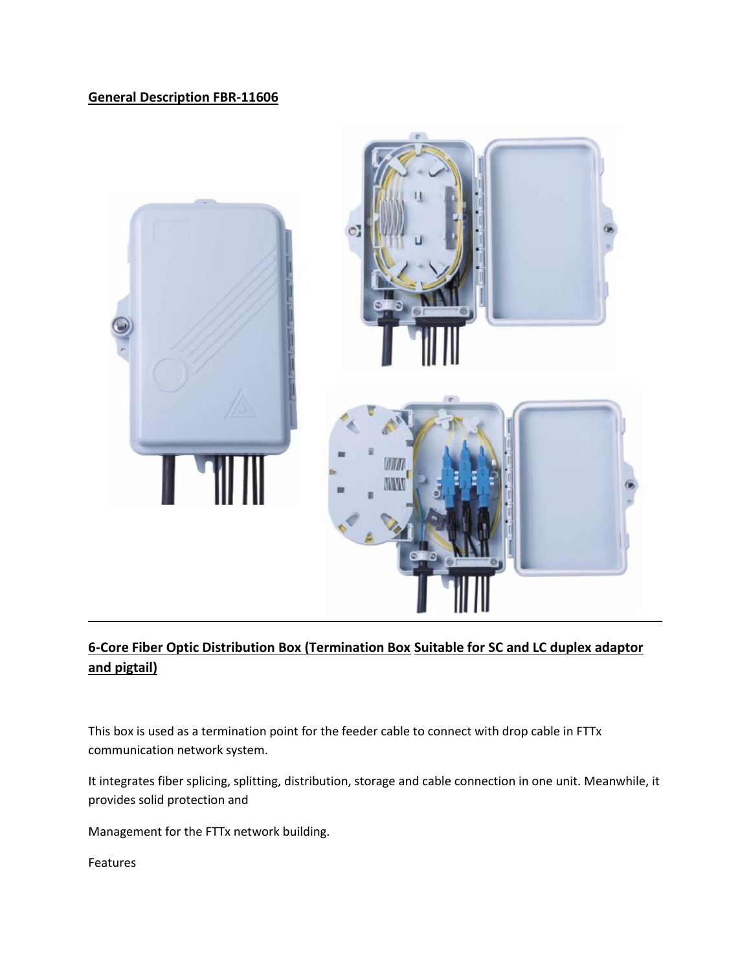## **General Description FBR-11606**



## **6-Core Fiber Optic Distribution Box (Termination Box Suitable for SC and LC duplex adaptor and pigtail)**

This box is used as a termination point for the feeder cable to connect with drop cable in FTTx communication network system.

It integrates fiber splicing, splitting, distribution, storage and cable connection in one unit. Meanwhile, it provides solid protection and

Management for the FTTx network building.

Features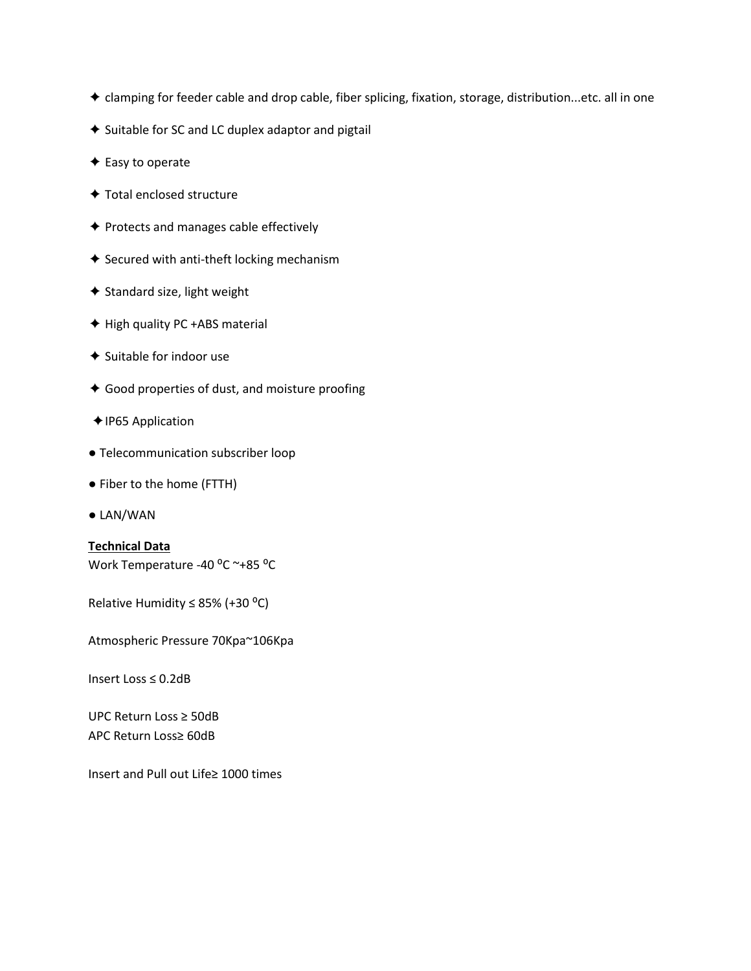- ✦ clamping for feeder cable and drop cable, fiber splicing, fixation, storage, distribution...etc. all in one
- ✦ Suitable for SC and LC duplex adaptor and pigtail
- ✦ Easy to operate
- ✦ Total enclosed structure
- ✦ Protects and manages cable effectively
- ✦ Secured with anti-theft locking mechanism
- ✦ Standard size, light weight
- ✦ High quality PC +ABS material
- ✦ Suitable for indoor use
- ✦ Good properties of dust, and moisture proofing
- ✦IP65 Application
- Telecommunication subscriber loop
- Fiber to the home (FTTH)
- LAN/WAN

## **Technical Data**

Work Temperature -40 °C ~+85 °C

Relative Humidity  $\leq$  85% (+30 °C)

Atmospheric Pressure 70Kpa~106Kpa

Insert Loss ≤ 0.2dB

UPC Return Loss ≥ 50dB APC Return Loss≥ 60dB

Insert and Pull out Life≥ 1000 times